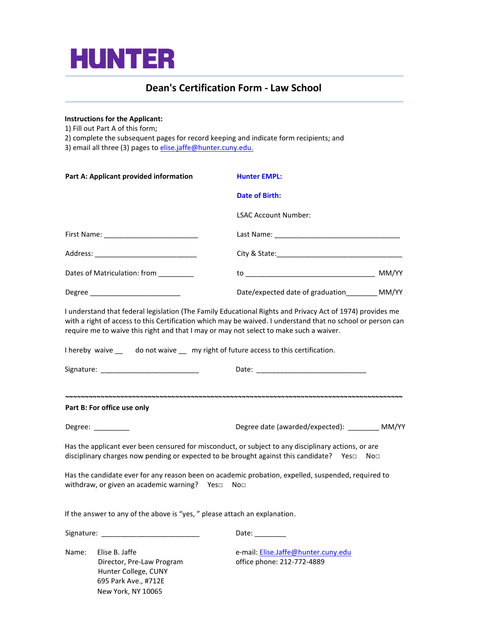

## **Dean's Certification Form - Law School**

#### **Instructions for the Applicant:**

New York, NY 10065

1) Fill out Part A of this form;

1

2) complete the subsequent pages for record keeping and indicate form recipients; and

3) email all three (3) pages to elise.jaffe@hunter.cuny.edu.

| Part A: Applicant provided information                                                               | <b>Hunter EMPL:</b>                                                                                                                                                                                                                                                                                                                                                                                      |
|------------------------------------------------------------------------------------------------------|----------------------------------------------------------------------------------------------------------------------------------------------------------------------------------------------------------------------------------------------------------------------------------------------------------------------------------------------------------------------------------------------------------|
|                                                                                                      | <b>Date of Birth:</b>                                                                                                                                                                                                                                                                                                                                                                                    |
|                                                                                                      | <b>LSAC Account Number:</b>                                                                                                                                                                                                                                                                                                                                                                              |
|                                                                                                      |                                                                                                                                                                                                                                                                                                                                                                                                          |
|                                                                                                      |                                                                                                                                                                                                                                                                                                                                                                                                          |
| Dates of Matriculation: from ________                                                                |                                                                                                                                                                                                                                                                                                                                                                                                          |
| Degree __________________________                                                                    | Date/expected date of graduation_________ MM/YY                                                                                                                                                                                                                                                                                                                                                          |
|                                                                                                      | I understand that federal legislation (The Family Educational Rights and Privacy Act of 1974) provides me<br>with a right of access to this Certification which may be waived. I understand that no school or person can<br>require me to waive this right and that I may or may not select to make such a waiver.<br>I hereby waive __ do not waive __ my right of future access to this certification. |
| Signature: ______________________________                                                            |                                                                                                                                                                                                                                                                                                                                                                                                          |
|                                                                                                      |                                                                                                                                                                                                                                                                                                                                                                                                          |
| Part B: For office use only                                                                          |                                                                                                                                                                                                                                                                                                                                                                                                          |
| Degree: _________                                                                                    | Degree date (awarded/expected): _________ MM/YY                                                                                                                                                                                                                                                                                                                                                          |
|                                                                                                      | Has the applicant ever been censured for misconduct, or subject to any disciplinary actions, or are<br>disciplinary charges now pending or expected to be brought against this candidate? Yes□ No□                                                                                                                                                                                                       |
| withdraw, or given an academic warning? Yes $\square$ No $\square$                                   | Has the candidate ever for any reason been on academic probation, expelled, suspended, required to                                                                                                                                                                                                                                                                                                       |
| If the answer to any of the above is "yes, " please attach an explanation.                           |                                                                                                                                                                                                                                                                                                                                                                                                          |
|                                                                                                      | Date: <b>Date</b>                                                                                                                                                                                                                                                                                                                                                                                        |
| Elise B. Jaffe<br>Name:<br>Director, Pre-Law Program<br>Hunter College, CUNY<br>695 Park Ave., #712E | e-mail: Elise.Jaffe@hunter.cuny.edu<br>office phone: 212-772-4889                                                                                                                                                                                                                                                                                                                                        |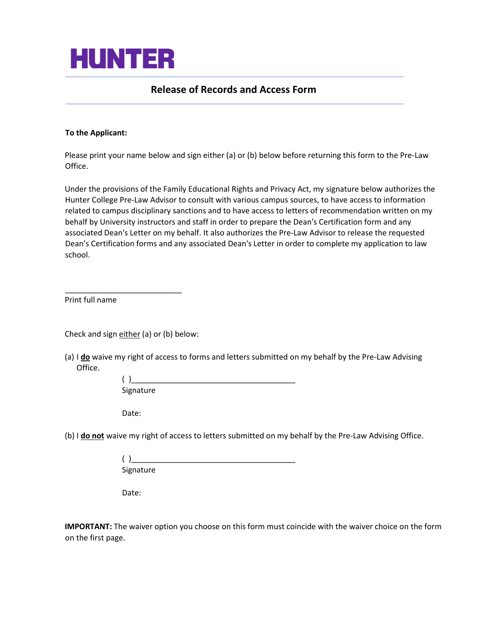

### **Release of Records and Access Form**

#### **To the Applicant:**

j

Please print your name below and sign either (a) or (b) below before returning this form to the Pre-Law Office.

Under the provisions of the Family Educational Rights and Privacy Act, my signature below authorizes the Hunter College Pre-Law Advisor to consult with various campus sources, to have access to information related to campus disciplinary sanctions and to have access to letters of recommendation written on my behalf by University instructors and staff in order to prepare the Dean's Certification form and any associated Dean's Letter on my behalf. It also authorizes the Pre-Law Advisor to release the requested Dean's Certification forms and any associated Dean's Letter in order to complete my application to law school.

Print full name

Check and sign either (a) or (b) below:

\_\_\_\_\_\_\_\_\_\_\_\_\_\_\_\_\_\_\_\_\_\_\_\_\_\_\_

(a) I **do** waive my right of access to forms and letters submitted on my behalf by the Pre-Law Advising Office.

| Signature |  |  |  |
|-----------|--|--|--|

Date:

(b) I **do not** waive my right of access to letters submitted on my behalf by the Pre-Law Advising Office.

| Signature |  |  |  |
|-----------|--|--|--|

Date:

**IMPORTANT:** The waiver option you choose on this form must coincide with the waiver choice on the form on the first page.